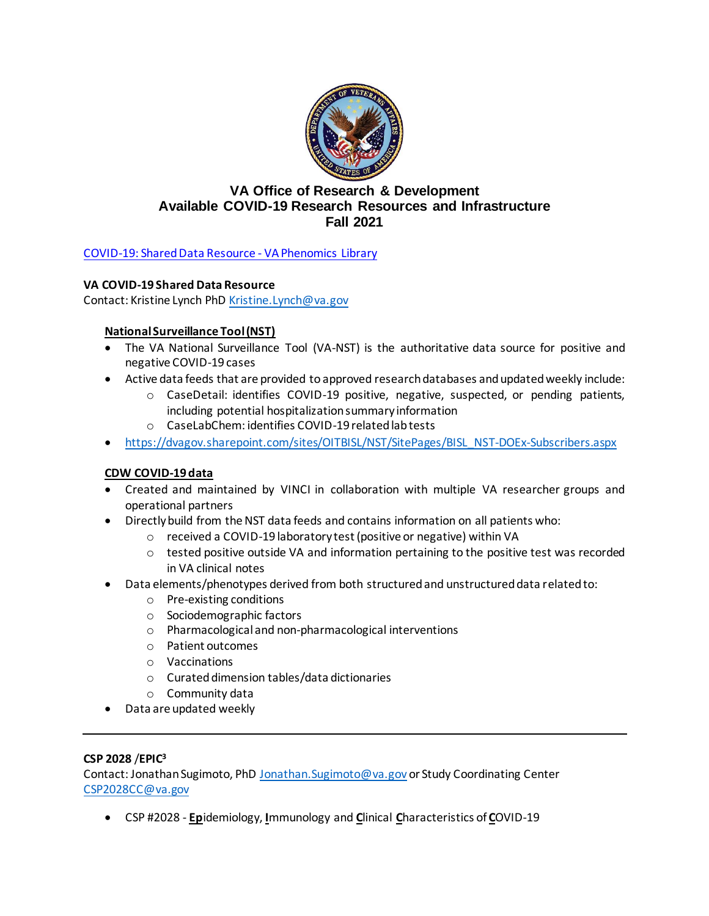

# **VA Office of Research & Development Available COVID-19 Research Resources and Infrastructure Fall 2021**

COVID-19: [Shared Data Resource -](https://vhacdwdwhweb100.vha.med.va.gov/phenotype/index.php/COVID-19:Shared_Data_Resource) VA Phenomics Library

# **VA COVID-19 Shared Data Resource**

Contact: Kristine Lynch Ph[D Kristine.Lynch@va.gov](mailto:Kristine.Lynch@va.gov)

# **National Surveillance Tool (NST)**

- The VA National Surveillance Tool (VA-NST) is the authoritative data source for positive and negative COVID-19 cases
- Active data feeds that are provided to approved research databases and updated weekly include:
	- o CaseDetail: identifies COVID-19 positive, negative, suspected, or pending patients, including potential hospitalization summary information
	- o CaseLabChem: identifies COVID-19 related lab tests
- [https://dvagov.sharepoint.com/sites/OITBISL/NST/SitePages/BISL\\_NST-DOEx-Subscribers.aspx](https://gcc02.safelinks.protection.outlook.com/?url=https%3A%2F%2Fdvagov.sharepoint.com%2Fsites%2FOITBISL%2FNST%2FSitePages%2FBISL_NST-DOEx-Subscribers.aspx&data=04%7C01%7C%7Cb8903be2b8424485135108d995a738ac%7Ce95f1b23abaf45ee821db7ab251ab3bf%7C0%7C0%7C637705367698498855%7CUnknown%7CTWFpbGZsb3d8eyJWIjoiMC4wLjAwMDAiLCJQIjoiV2luMzIiLCJBTiI6Ik1haWwiLCJXVCI6Mn0%3D%7C1000&sdata=56XNmfuNEE%2BDA3yuPjJlYX7Taq%2FKFfapW%2Fip3uV60IY%3D&reserved=0)

# **CDW COVID-19 data**

- Created and maintained by VINCI in collaboration with multiple VA researcher groups and operational partners
- Directly build from the NST data feeds and contains information on all patients who:
	- o received a COVID-19 laboratory test (positive or negative) within VA
	- $\circ$  tested positive outside VA and information pertaining to the positive test was recorded in VA clinical notes
- Data elements/phenotypes derived from both structured and unstructured data related to:
	- o Pre-existing conditions
	- o Sociodemographic factors
	- o Pharmacological and non-pharmacological interventions
	- o Patient outcomes
	- o Vaccinations
	- o Curated dimension tables/data dictionaries
	- o Community data
- Data are updated weekly

## **CSP 2028** /**EPIC<sup>3</sup>**

Contact: Jonathan Sugimoto, PhD [Jonathan.Sugimoto@va.gov](mailto:Jonathan.Sugimoto@va.gov) or Study Coordinating Center [CSP2028CC@va.gov](file:///C:/Users/VACOGarciA3/AppData/Local/Microsoft/Windows/INetCache/Content.Outlook/EBBYCD1A/CSP2028CC@va.gov)

• CSP #2028 - **Ep**idemiology, **I**mmunology and **C**linical **C**haracteristics of **C**OVID-19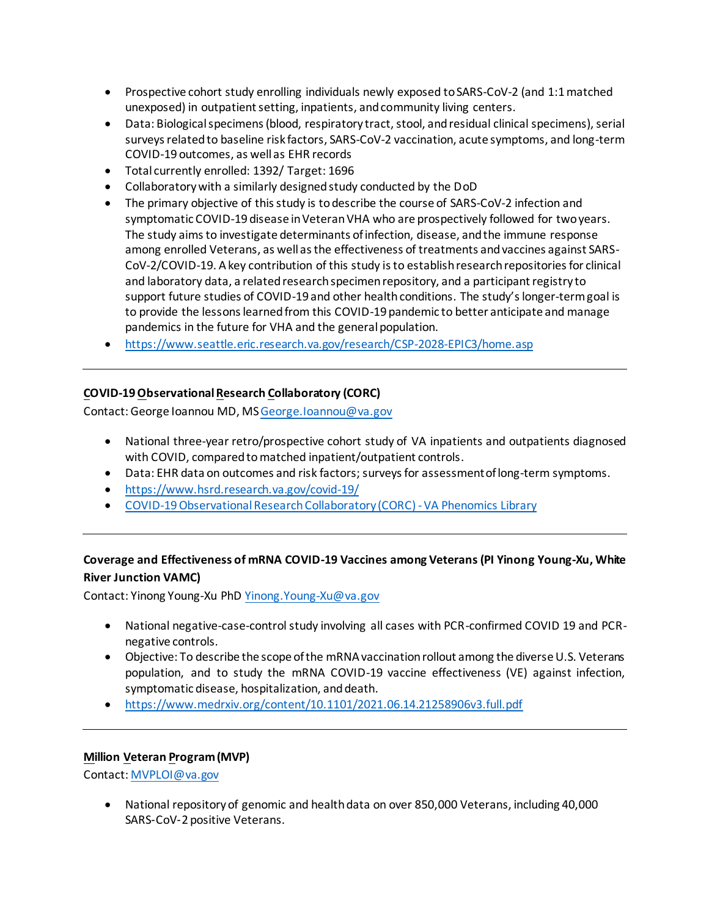- Prospective cohort study enrolling individuals newly exposed to SARS-CoV-2 (and 1:1 matched unexposed) in outpatient setting, inpatients, and community living centers.
- Data: Biological specimens (blood, respiratory tract, stool, and residual clinical specimens), serial surveys related to baseline risk factors, SARS-CoV-2 vaccination, acute symptoms, and long-term COVID-19 outcomes, as well as EHR records
- Total currently enrolled: 1392/ Target: 1696
- Collaboratory with a similarly designed study conducted by the DoD
- The primary objective of this study is to describe the course of SARS-CoV-2 infection and symptomatic COVID-19 disease in Veteran VHA who are prospectively followed for two years. The study aims to investigate determinants of infection, disease, and the immune response among enrolled Veterans, as well as the effectiveness of treatments and vaccines against SARS-CoV-2/COVID-19. A key contribution of this study is to establish research repositories for clinical and laboratory data, a related research specimen repository, and a participant registry to support future studies of COVID-19 and other health conditions. The study's longer-term goal is to provide the lessons learned from this COVID-19 pandemic to better anticipate and manage pandemics in the future for VHA and the general population.
- <https://www.seattle.eric.research.va.gov/research/CSP-2028-EPIC3/home.asp>

# **COVID-19 Observational Research Collaboratory (CORC)**

Contact: George Ioannou MD, M[S George.Ioannou@va.gov](mailto:George.Ioannou@va.gov)

- National three-year retro/prospective cohort study of VA inpatients and outpatients diagnosed with COVID, compared to matched inpatient/outpatient controls.
- Data: EHR data on outcomes and risk factors; surveysfor assessment of long-term symptoms.
- <https://www.hsrd.research.va.gov/covid-19/>
- [COVID-19 Observational Research Collaboratory \(CORC\) -VA Phenomics Library](https://vhacdwdwhweb100.vha.med.va.gov/phenotype/index.php/COVID-19_Observational_Research_Collaboratory_(CORC)#Project_Description)

# **Coverage and Effectiveness of mRNA COVID-19 Vaccines among Veterans(PI Yinong Young-Xu, White River Junction VAMC)**

Contact: Yinong Young-Xu PhD [Yinong.Young-Xu@va.gov](mailto:Yinong.Young-Xu@va.gov)

- National negative-case-control study involving all cases with PCR-confirmed COVID 19 and PCRnegative controls.
- Objective: To describe the scope of the mRNA vaccination rollout among the diverse U.S. Veterans population, and to study the mRNA COVID-19 vaccine effectiveness (VE) against infection, symptomatic disease, hospitalization, and death.
- [https://www.medrxiv.org/content/10.1101/2021.06.14.21258906v3.full.pdf](https://gcc02.safelinks.protection.outlook.com/?url=https%3A%2F%2Fwww.medrxiv.org%2Fcontent%2F10.1101%2F2021.06.14.21258906v3.full.pdf&data=04%7C01%7C%7C85f57bec6c974458aba608d9881e0364%7Ce95f1b23abaf45ee821db7ab251ab3bf%7C0%7C0%7C637690484743243394%7CUnknown%7CTWFpbGZsb3d8eyJWIjoiMC4wLjAwMDAiLCJQIjoiV2luMzIiLCJBTiI6Ik1haWwiLCJXVCI6Mn0%3D%7C1000&sdata=cFp%2FsL612El8FPo8SlvHo7eAKB68xa6B6BBMOaHTfk4%3D&reserved=0)

#### **Million Veteran Program (MVP)**

Contact[: MVPLOI@va.gov](mailto:MVPLOI@va.gov)

• National repository of genomic and health data on over 850,000 Veterans, including 40,000 SARS-CoV-2 positive Veterans.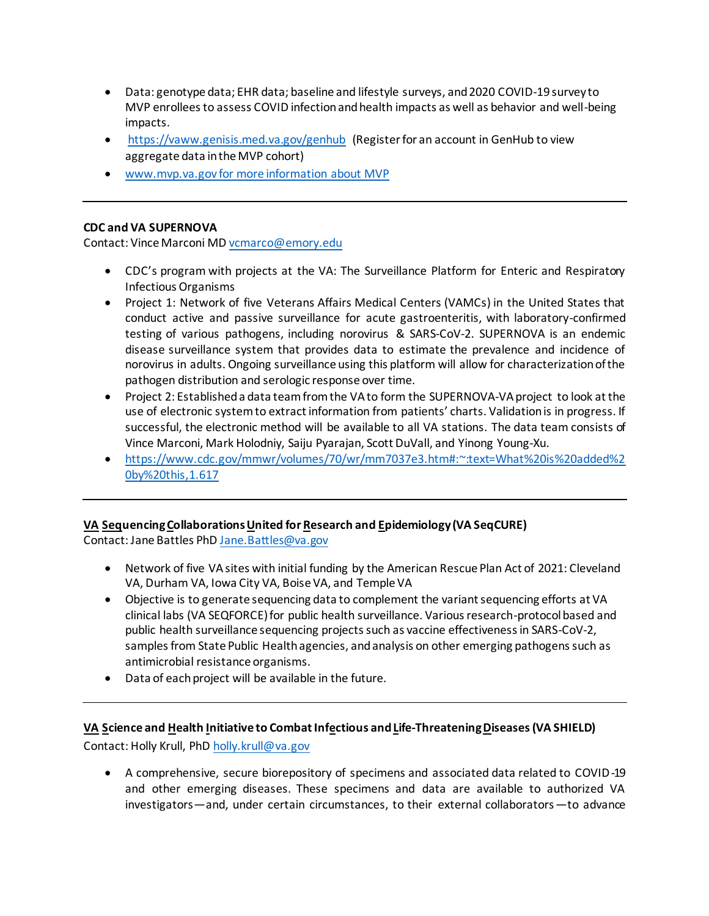- Data: genotype data; EHR data; baseline and lifestyle surveys, and 2020 COVID-19 survey to MVP enrollees to assess COVID infection and health impacts as well as behavior and well-being impacts.
- <https://vaww.genisis.med.va.gov/genhub> (Register for an account in GenHub to view aggregate data in the MVP cohort)
- [www.mvp.va.gov](http://www.mvp.va.gov/) for more information about MVP

### **CDC and VA SUPERNOVA**

Contact: Vince Marconi M[D vcmarco@emory.edu](mailto:vcmarco@emory.edu)

- CDC's program with projects at the VA: The Surveillance Platform for Enteric and Respiratory Infectious Organisms
- Project 1: Network of five Veterans Affairs Medical Centers (VAMCs) in the United States that conduct active and passive surveillance for acute gastroenteritis, with laboratory-confirmed testing of various pathogens, including norovirus & SARS-CoV-2. SUPERNOVA is an endemic disease surveillance system that provides data to estimate the prevalence and incidence of norovirus in adults. Ongoing surveillance using this platform will allow for characterization of the pathogen distribution and serologic response over time.
- Project 2: Established a data team from the VA to form the SUPERNOVA-VA project to look at the use of electronic system to extract information from patients' charts. Validation is in progress. If successful, the electronic method will be available to all VA stations. The data team consists of Vince Marconi, Mark Holodniy, Saiju Pyarajan, Scott DuVall, and Yinong Young-Xu.
- [https://www.cdc.gov/mmwr/volumes/70/wr/mm7037e3.htm#:~:text=What%20is%20added%2](https://www.cdc.gov/mmwr/volumes/70/wr/mm7037e3.htm#:~:text=What%20is%20added%20by%20this,1.617) [0by%20this,1.617](https://www.cdc.gov/mmwr/volumes/70/wr/mm7037e3.htm#:~:text=What%20is%20added%20by%20this,1.617)

## **VA Sequencing Collaborations United for Research and Epidemiology (VA SeqCURE)**

Contact: Jane Battles Ph[D Jane.Battles@va.gov](mailto:Jane.Battles@va.gov)

- Network of five VA sites with initial funding by the American Rescue Plan Act of 2021: Cleveland VA, Durham VA, Iowa City VA, Boise VA, and Temple VA
- Objective is to generate sequencing data to complement the variant sequencing efforts at VA clinical labs (VA SEQFORCE) for public health surveillance. Various research-protocol based and public health surveillance sequencing projects such as vaccine effectiveness in SARS-CoV-2, samples from State Public Health agencies, and analysis on other emerging pathogens such as antimicrobial resistance organisms.
- Data of each project will be available in the future.

## **VA Science and Health Initiative to Combat Infectious and Life-Threatening Diseases(VA SHIELD)**

Contact: Holly Krull, Ph[D holly.krull@va.gov](mailto:holly.krull@va.gov)

• A comprehensive, secure biorepository of specimens and associated data related to COVID-19 and other emerging diseases. These specimens and data are available to authorized VA investigators—and, under certain circumstances, to their external collaborators—to advance